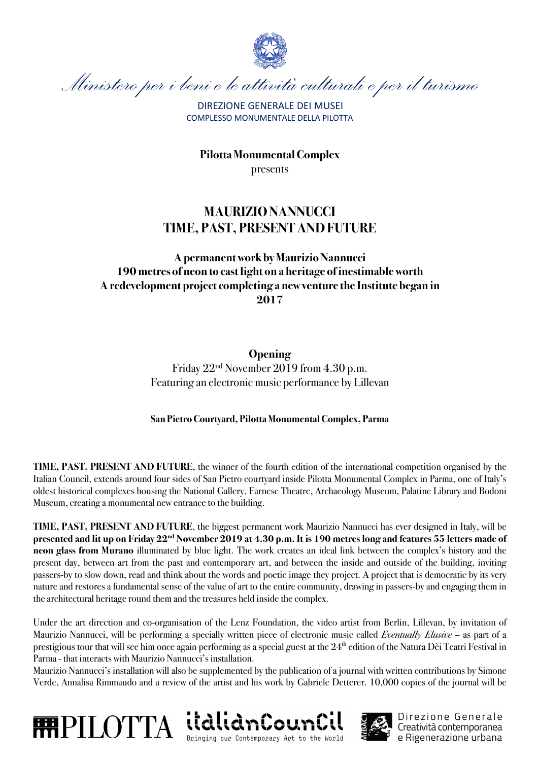

Ministero per i beni e le attività culturali e per il turismo

DIREZIONE GENERALE DEI MUSEI COMPLESSO MONUMENTALE DELLA PILOTTA

**PilottaMonumental Complex** presents

## **MAURIZIO NANNUCCI TIME, PAST, PRESENT AND FUTURE**

## **Apermanent work by Maurizio Nannucci 190 metres of neon to cast light on a heritage of inestimable worth Aredevelopment project completing a new venture the Institute began in 2017**

## **Opening**

Friday 22nd November 2019 from 4.30 p.m. Featuring an electronic music performance by Lillevan

## **San PietroCourtyard, PilottaMonumental Complex, Parma**

**TIME, PAST, PRESENT AND FUTURE**, the winner of the fourth edition of the international competition organised by the Italian Council, extends around four sides of San Pietro courtyard inside Pilotta Monumental Complex in Parma, one of Italy's oldest historical complexes housing the National Gallery, Farnese Theatre, Archaeology Museum, Palatine Library and Bodoni Museum, creating a monumental new entrance to the building.

**TIME, PAST, PRESENT AND FUTURE**, the biggest permanent work Maurizio Nannucci has ever designed in Italy, will be **presented and lit up on Friday 22nd November 2019 at 4.30 p.m. It is 190 metres long and features 55 letters made of neon glass from Murano** illuminated by blue light. The work creates an ideal link between the complex's history and the present day, between art from the past and contemporary art, and between the inside and outside of the building, inviting passers-by to slow down, read and think about the words and poetic image they project. A project that is democratic by its very nature and restores a fundamental sense of the value of art to the entire community, drawing in passers-by and engaging them in the architectural heritage round them and the treasures held inside the complex.

Under the art direction and co-organisation of the Lenz Foundation, the video artist from Berlin, Lillevan, by invitation of Maurizio Nannucci, will be performing a specially written piece of electronic music called *Eventually Elusive* – as part of a prestigious tour that will see him once again performing as a special guest at the  $24<sup>th</sup>$  edition of the Natura Dèi Teatri Festival in Parma- that interacts with Maurizio Nannucci's installation.

Maurizio Nannucci's installation will also be supplemented by the publication of a journal with written contributions by Simone Verde, Annalisa Rimmaudo and a review of the artist and his work by Gabriele Detterer. 10,000 copies of the journal will be







Direzione Generale Creatività contemporanea e Rigenerazione urbana

Bringing our Contemporary Art to the World